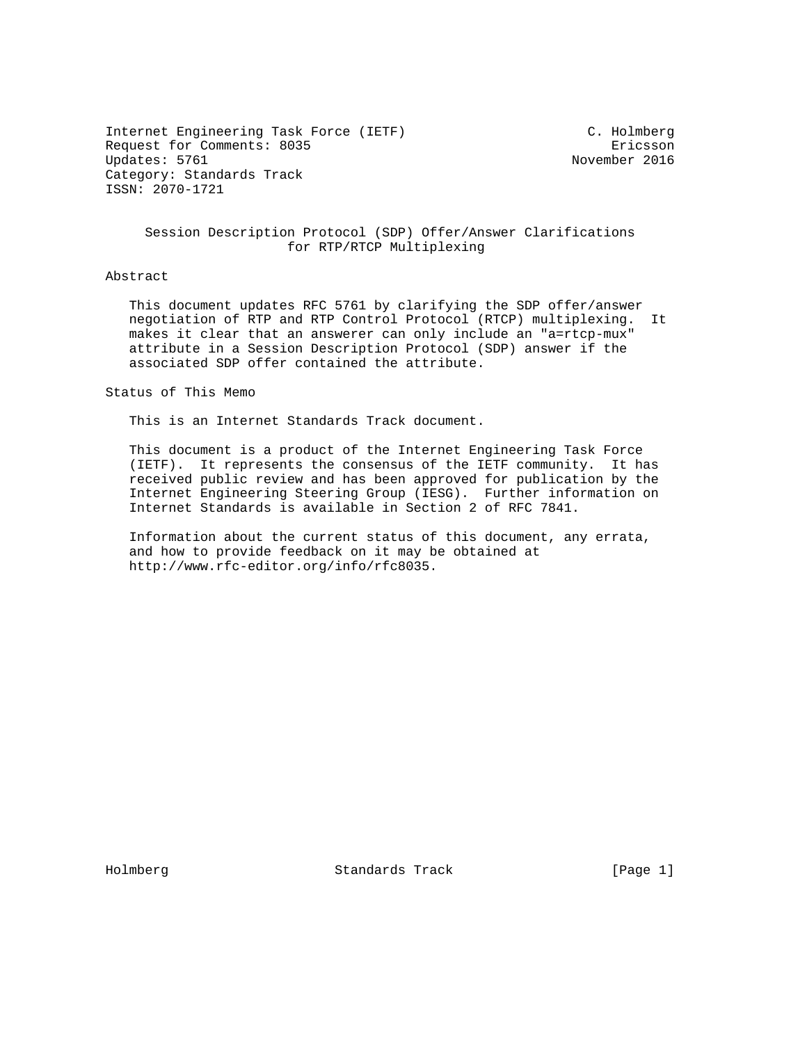Internet Engineering Task Force (IETF) C. Holmberg Request for Comments: 8035 Ericsson<br>Updates: 5761 Ericsson Category: Standards Track ISSN: 2070-1721

November 2016

## Session Description Protocol (SDP) Offer/Answer Clarifications for RTP/RTCP Multiplexing

## Abstract

 This document updates RFC 5761 by clarifying the SDP offer/answer negotiation of RTP and RTP Control Protocol (RTCP) multiplexing. It makes it clear that an answerer can only include an "a=rtcp-mux" attribute in a Session Description Protocol (SDP) answer if the associated SDP offer contained the attribute.

Status of This Memo

This is an Internet Standards Track document.

 This document is a product of the Internet Engineering Task Force (IETF). It represents the consensus of the IETF community. It has received public review and has been approved for publication by the Internet Engineering Steering Group (IESG). Further information on Internet Standards is available in Section 2 of RFC 7841.

 Information about the current status of this document, any errata, and how to provide feedback on it may be obtained at http://www.rfc-editor.org/info/rfc8035.

Holmberg Standards Track [Page 1]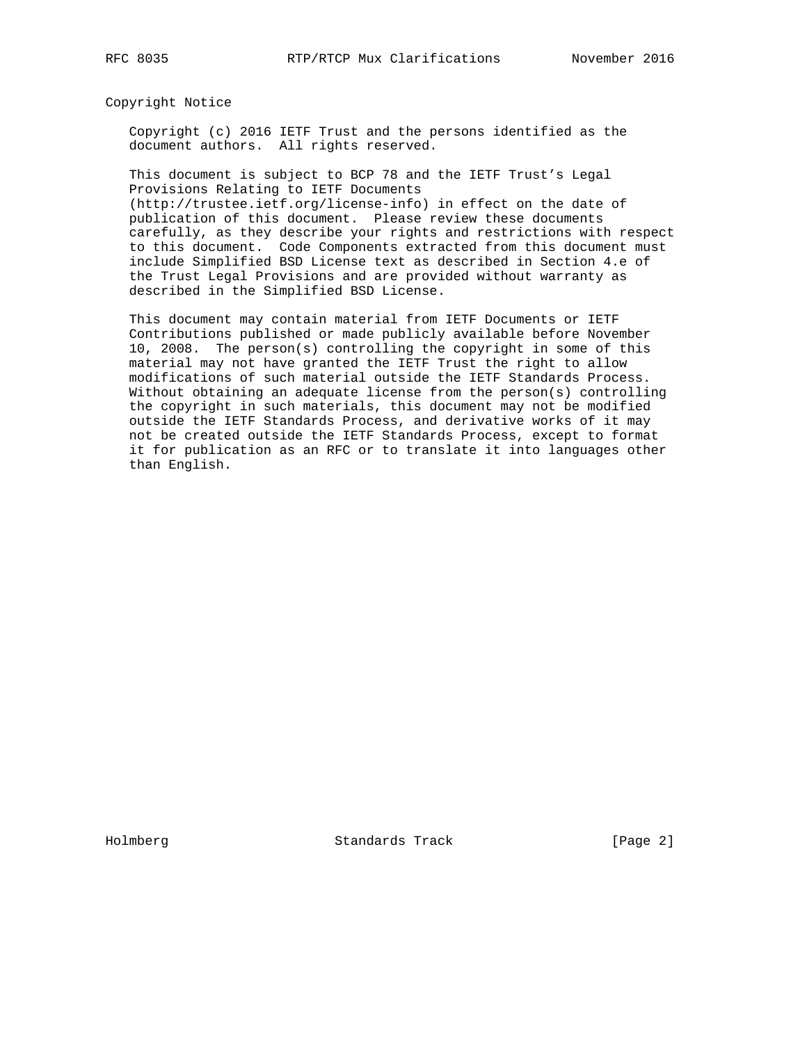Copyright Notice

 Copyright (c) 2016 IETF Trust and the persons identified as the document authors. All rights reserved.

 This document is subject to BCP 78 and the IETF Trust's Legal Provisions Relating to IETF Documents (http://trustee.ietf.org/license-info) in effect on the date of publication of this document. Please review these documents carefully, as they describe your rights and restrictions with respect to this document. Code Components extracted from this document must

 include Simplified BSD License text as described in Section 4.e of the Trust Legal Provisions and are provided without warranty as described in the Simplified BSD License.

 This document may contain material from IETF Documents or IETF Contributions published or made publicly available before November 10, 2008. The person(s) controlling the copyright in some of this material may not have granted the IETF Trust the right to allow modifications of such material outside the IETF Standards Process. Without obtaining an adequate license from the person(s) controlling the copyright in such materials, this document may not be modified outside the IETF Standards Process, and derivative works of it may not be created outside the IETF Standards Process, except to format it for publication as an RFC or to translate it into languages other than English.

Holmberg Standards Track [Page 2]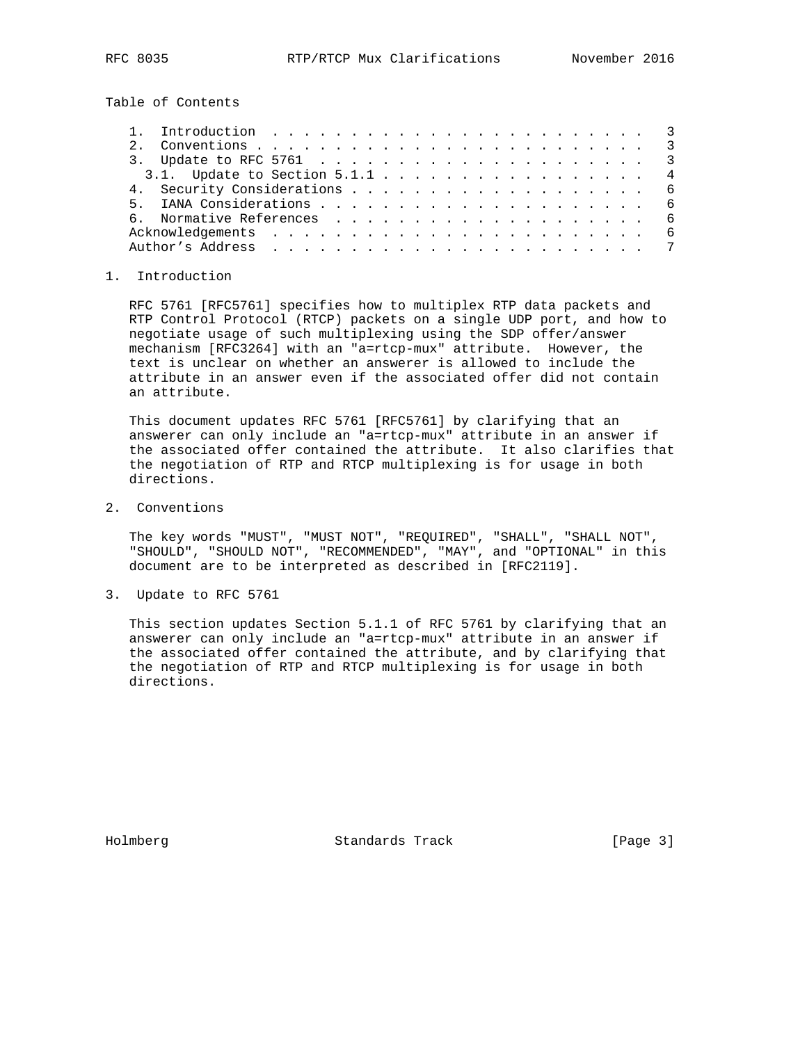Table of Contents

## 1. Introduction

 RFC 5761 [RFC5761] specifies how to multiplex RTP data packets and RTP Control Protocol (RTCP) packets on a single UDP port, and how to negotiate usage of such multiplexing using the SDP offer/answer mechanism [RFC3264] with an "a=rtcp-mux" attribute. However, the text is unclear on whether an answerer is allowed to include the attribute in an answer even if the associated offer did not contain an attribute.

 This document updates RFC 5761 [RFC5761] by clarifying that an answerer can only include an "a=rtcp-mux" attribute in an answer if the associated offer contained the attribute. It also clarifies that the negotiation of RTP and RTCP multiplexing is for usage in both directions.

2. Conventions

 The key words "MUST", "MUST NOT", "REQUIRED", "SHALL", "SHALL NOT", "SHOULD", "SHOULD NOT", "RECOMMENDED", "MAY", and "OPTIONAL" in this document are to be interpreted as described in [RFC2119].

3. Update to RFC 5761

 This section updates Section 5.1.1 of RFC 5761 by clarifying that an answerer can only include an "a=rtcp-mux" attribute in an answer if the associated offer contained the attribute, and by clarifying that the negotiation of RTP and RTCP multiplexing is for usage in both directions.

Holmberg Standards Track [Page 3]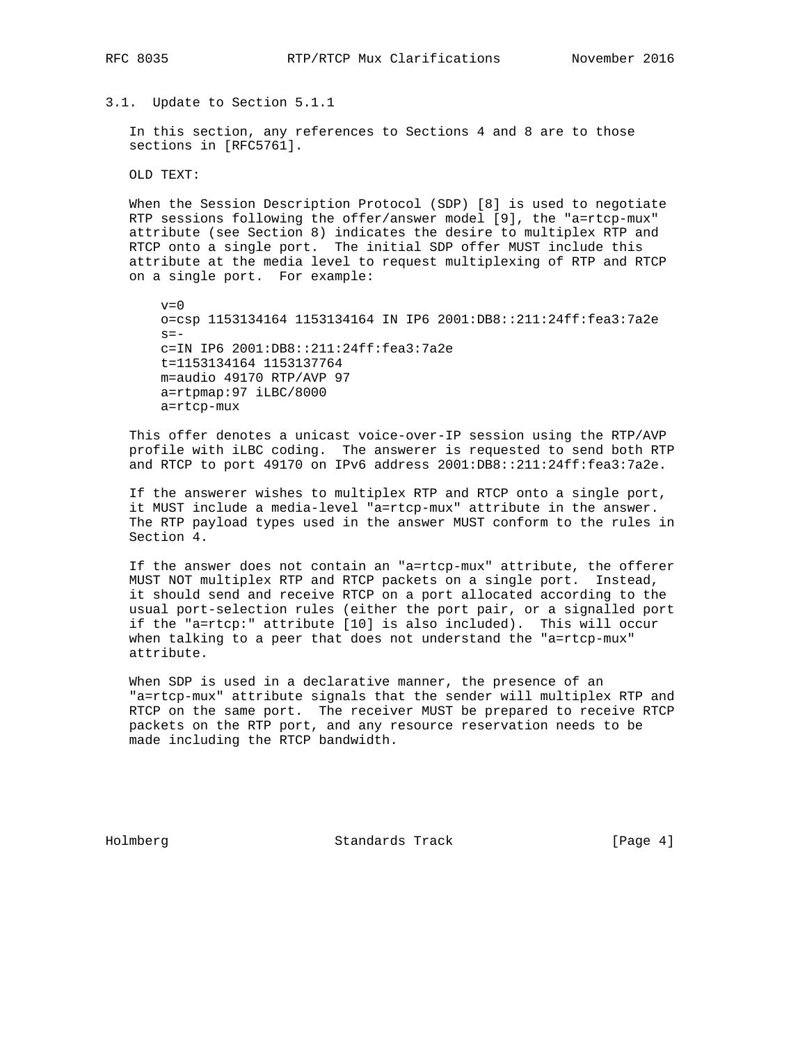3.1. Update to Section 5.1.1

 In this section, any references to Sections 4 and 8 are to those sections in [RFC5761].

OLD TEXT:

 When the Session Description Protocol (SDP) [8] is used to negotiate RTP sessions following the offer/answer model [9], the "a=rtcp-mux" attribute (see Section 8) indicates the desire to multiplex RTP and RTCP onto a single port. The initial SDP offer MUST include this attribute at the media level to request multiplexing of RTP and RTCP on a single port. For example:

 $v=0$  o=csp 1153134164 1153134164 IN IP6 2001:DB8::211:24ff:fea3:7a2e  $s=$  c=IN IP6 2001:DB8::211:24ff:fea3:7a2e t=1153134164 1153137764 m=audio 49170 RTP/AVP 97 a=rtpmap:97 iLBC/8000 a=rtcp-mux

 This offer denotes a unicast voice-over-IP session using the RTP/AVP profile with iLBC coding. The answerer is requested to send both RTP and RTCP to port 49170 on IPv6 address 2001:DB8::211:24ff:fea3:7a2e.

 If the answerer wishes to multiplex RTP and RTCP onto a single port, it MUST include a media-level "a=rtcp-mux" attribute in the answer. The RTP payload types used in the answer MUST conform to the rules in Section 4.

 If the answer does not contain an "a=rtcp-mux" attribute, the offerer MUST NOT multiplex RTP and RTCP packets on a single port. Instead, it should send and receive RTCP on a port allocated according to the usual port-selection rules (either the port pair, or a signalled port if the "a=rtcp:" attribute [10] is also included). This will occur when talking to a peer that does not understand the "a=rtcp-mux" attribute.

 When SDP is used in a declarative manner, the presence of an "a=rtcp-mux" attribute signals that the sender will multiplex RTP and RTCP on the same port. The receiver MUST be prepared to receive RTCP packets on the RTP port, and any resource reservation needs to be made including the RTCP bandwidth.

Holmberg Standards Track [Page 4]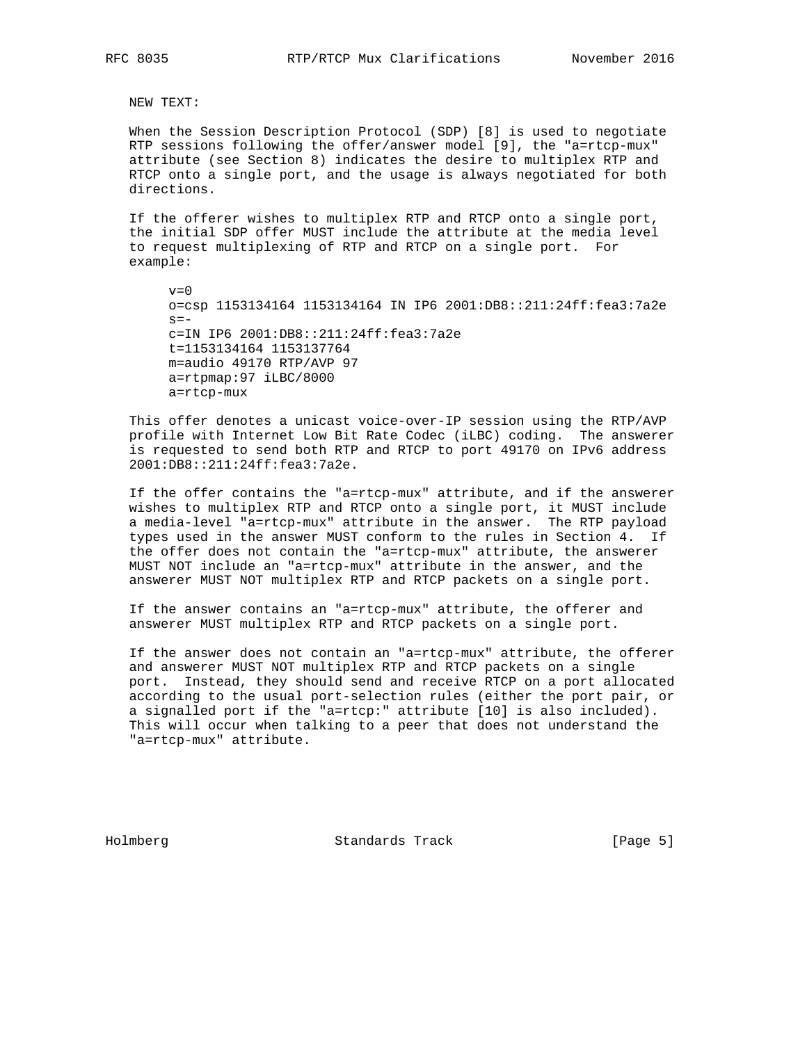NEW TEXT:

 When the Session Description Protocol (SDP) [8] is used to negotiate RTP sessions following the offer/answer model [9], the "a=rtcp-mux" attribute (see Section 8) indicates the desire to multiplex RTP and RTCP onto a single port, and the usage is always negotiated for both directions.

 If the offerer wishes to multiplex RTP and RTCP onto a single port, the initial SDP offer MUST include the attribute at the media level to request multiplexing of RTP and RTCP on a single port. For example:

 $v=0$  o=csp 1153134164 1153134164 IN IP6 2001:DB8::211:24ff:fea3:7a2e  $s=$  c=IN IP6 2001:DB8::211:24ff:fea3:7a2e t=1153134164 1153137764 m=audio 49170 RTP/AVP 97 a=rtpmap:97 iLBC/8000 a=rtcp-mux

 This offer denotes a unicast voice-over-IP session using the RTP/AVP profile with Internet Low Bit Rate Codec (iLBC) coding. The answerer is requested to send both RTP and RTCP to port 49170 on IPv6 address 2001:DB8::211:24ff:fea3:7a2e.

 If the offer contains the "a=rtcp-mux" attribute, and if the answerer wishes to multiplex RTP and RTCP onto a single port, it MUST include a media-level "a=rtcp-mux" attribute in the answer. The RTP payload types used in the answer MUST conform to the rules in Section 4. If the offer does not contain the "a=rtcp-mux" attribute, the answerer MUST NOT include an "a=rtcp-mux" attribute in the answer, and the answerer MUST NOT multiplex RTP and RTCP packets on a single port.

 If the answer contains an "a=rtcp-mux" attribute, the offerer and answerer MUST multiplex RTP and RTCP packets on a single port.

 If the answer does not contain an "a=rtcp-mux" attribute, the offerer and answerer MUST NOT multiplex RTP and RTCP packets on a single port. Instead, they should send and receive RTCP on a port allocated according to the usual port-selection rules (either the port pair, or a signalled port if the "a=rtcp:" attribute [10] is also included). This will occur when talking to a peer that does not understand the "a=rtcp-mux" attribute.

Holmberg Standards Track [Page 5]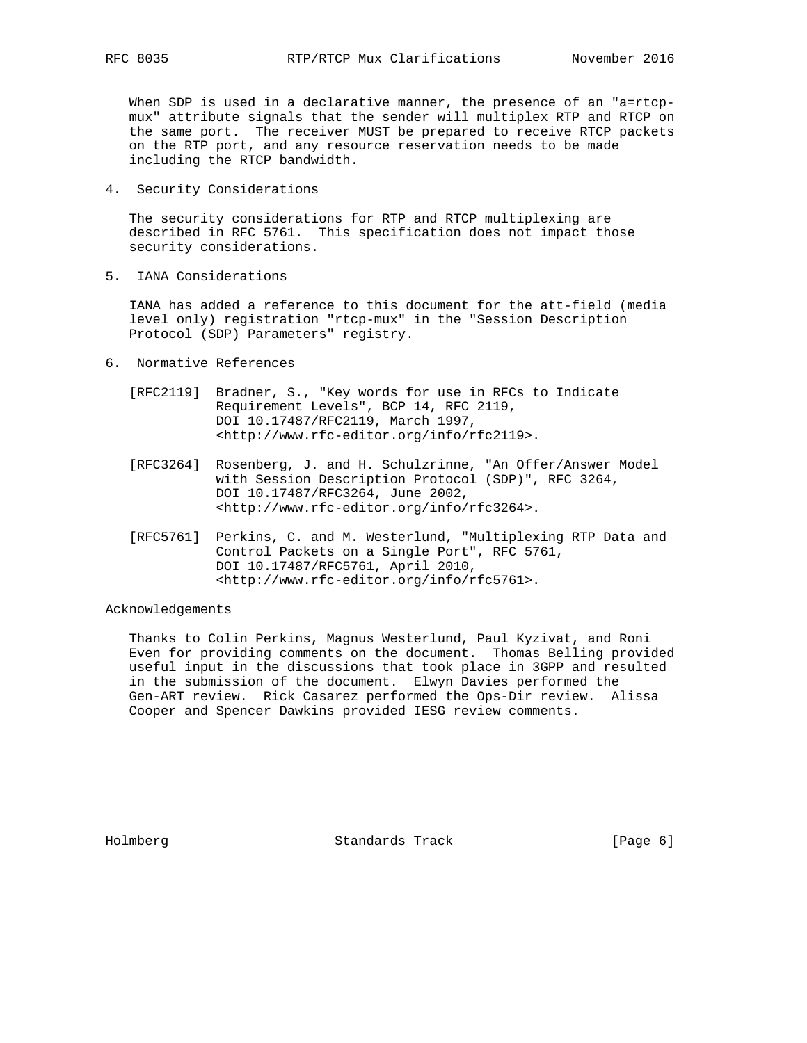When SDP is used in a declarative manner, the presence of an "a=rtcp mux" attribute signals that the sender will multiplex RTP and RTCP on the same port. The receiver MUST be prepared to receive RTCP packets on the RTP port, and any resource reservation needs to be made including the RTCP bandwidth.

4. Security Considerations

 The security considerations for RTP and RTCP multiplexing are described in RFC 5761. This specification does not impact those security considerations.

5. IANA Considerations

 IANA has added a reference to this document for the att-field (media level only) registration "rtcp-mux" in the "Session Description Protocol (SDP) Parameters" registry.

- 6. Normative References
	- [RFC2119] Bradner, S., "Key words for use in RFCs to Indicate Requirement Levels", BCP 14, RFC 2119, DOI 10.17487/RFC2119, March 1997, <http://www.rfc-editor.org/info/rfc2119>.
	- [RFC3264] Rosenberg, J. and H. Schulzrinne, "An Offer/Answer Model with Session Description Protocol (SDP)", RFC 3264, DOI 10.17487/RFC3264, June 2002, <http://www.rfc-editor.org/info/rfc3264>.
	- [RFC5761] Perkins, C. and M. Westerlund, "Multiplexing RTP Data and Control Packets on a Single Port", RFC 5761, DOI 10.17487/RFC5761, April 2010, <http://www.rfc-editor.org/info/rfc5761>.

Acknowledgements

 Thanks to Colin Perkins, Magnus Westerlund, Paul Kyzivat, and Roni Even for providing comments on the document. Thomas Belling provided useful input in the discussions that took place in 3GPP and resulted in the submission of the document. Elwyn Davies performed the Gen-ART review. Rick Casarez performed the Ops-Dir review. Alissa Cooper and Spencer Dawkins provided IESG review comments.

Holmberg Standards Track [Page 6]